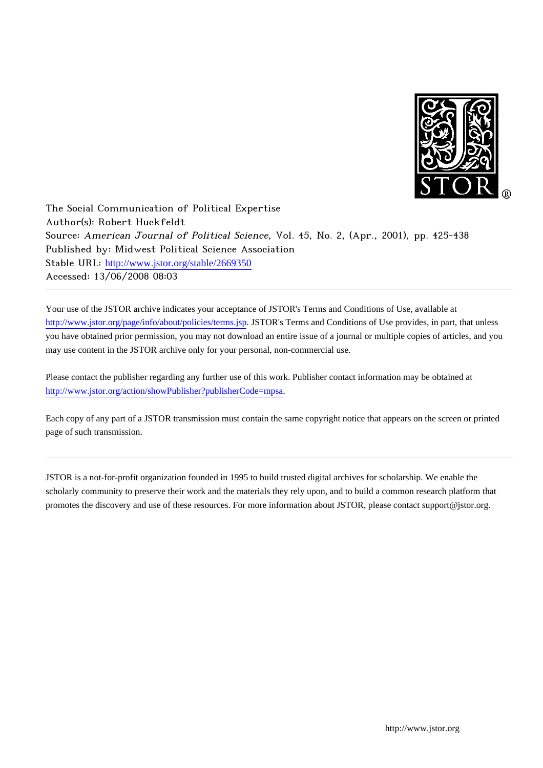

The Social Communication of Political Expertise Author(s): Robert Huckfeldt Source: American Journal of Political Science, Vol. 45, No. 2, (Apr., 2001), pp. 425-438 Published by: Midwest Political Science Association Stable URL: [http://www.jstor.org/stable/2669350](http://www.jstor.org/stable/2669350?origin=JSTOR-pdf) Accessed: 13/06/2008 08:03

Your use of the JSTOR archive indicates your acceptance of JSTOR's Terms and Conditions of Use, available at <http://www.jstor.org/page/info/about/policies/terms.jsp>. JSTOR's Terms and Conditions of Use provides, in part, that unless you have obtained prior permission, you may not download an entire issue of a journal or multiple copies of articles, and you may use content in the JSTOR archive only for your personal, non-commercial use.

Please contact the publisher regarding any further use of this work. Publisher contact information may be obtained at <http://www.jstor.org/action/showPublisher?publisherCode=mpsa>.

Each copy of any part of a JSTOR transmission must contain the same copyright notice that appears on the screen or printed page of such transmission.

JSTOR is a not-for-profit organization founded in 1995 to build trusted digital archives for scholarship. We enable the scholarly community to preserve their work and the materials they rely upon, and to build a common research platform that promotes the discovery and use of these resources. For more information about JSTOR, please contact support@jstor.org.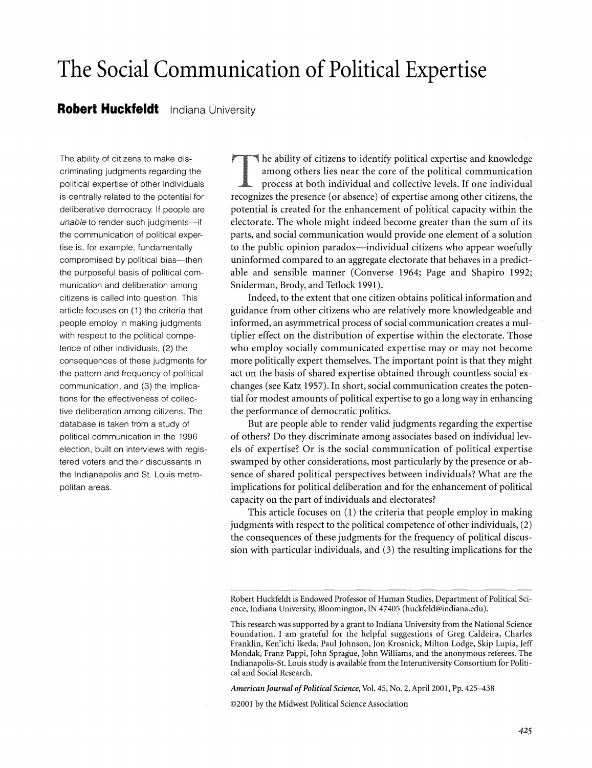# The Social Communication of Political Expertise

## **Robert Huckfeldt** Indiana University

The ability of citizens to make discriminating judgments regarding the political expertise of other individuals is centrally related to the potential for deliberative democracy. If people are unable to render such judgments-if the communication of political expertise is, for example, fundamentally compromised by political bias-then the purposeful basis of political communication and deliberation among citizens is called into question. This article focuses on (1) the criteria that people employ in making judgments with respect to the political competence of other individuals, (2) the consequences of these judgments for the pattern and frequency of political communication, and (3) the implications for the effectiveness of collective deliberation among citizens. The database is taken from a study of political communication in the 1996 election, built on interviews with registered voters and their discussants in the Indianapolis and St. Louis metropolitan areas.

The ability of citizens to identify political expertise and knowledge among others lies near the core of the political communication process at both individual and collective levels. If one individual recognizes the presence (or absence) of expertise among other citizens, the potential is created for the enhancement of political capacity within the electorate. The whole might indeed become greater than the sum of its parts, and social communication would provide one element of a solution to the public opinion paradox—individual citizens who appear woefully uninformed compared to an aggregate electorate that behaves in a predictable and sensible manner (Converse 1964; Page and Shapiro 1992; Sniderman, Brody, and Tetlock 1991).

Indeed, to the extent that one citizen obtains political information and guidance from other citizens who are relatively more knowledgeable and informed, an asymmetrical process of social communication creates a multiplier effect on the distribution of expertise within the electorate. Those who employ socially communicated expertise may or may not become more politically expert themselves. The important point is that they might act on the basis of shared expertise obtained through countless social exchanges (see Katz 1957). In short, social communication creates the potential for modest amounts of political expertise to go a long way in enhancing the performance of democratic politics.

But are people able to render valid judgments regarding the expertise of others? Do they discriminate among associates based on individual levels of expertise? Or is the social communication of political expertise swamped by other considerations, most particularly by the presence or absence of shared political perspectives between individuals? What are the implications for political deliberation and for the enhancement of political capacity on the part of individuals and electorates?

This article focuses on (1) the criteria that people employ in making judgments with respect to the political competence of other individuals, (2) the consequences of these judgments for the frequency of political discussion with particular individuals, and (3) the resulting implications for the

American Journal of Political Science, Vol. 45, No. 2, April 2001, Pp. 425-438

©2001 by the Midwest Political Science Association

Robert Huckfeldt is Endowed Professor of Human Studies, Department of Political Science, Indiana University, Bloomington, IN 47405 (huckfeld@indiana.edu).

This research was supported by a grant to Indiana University from the National Science Foundation. I am grateful for the helpful suggestions of Greg Caldeira, Charles Franklin, Ken'ichi Ikeda, Paul Johnson, Jon Krosnick, Milton Lodge, Skip Lupia, Jeff Mondak, Franz Pappi, John Sprague, John Williams, and the anonymous referees. The Indianapolis-St. Louis study is available from the Interuniversity Consortium for Political and Social Research.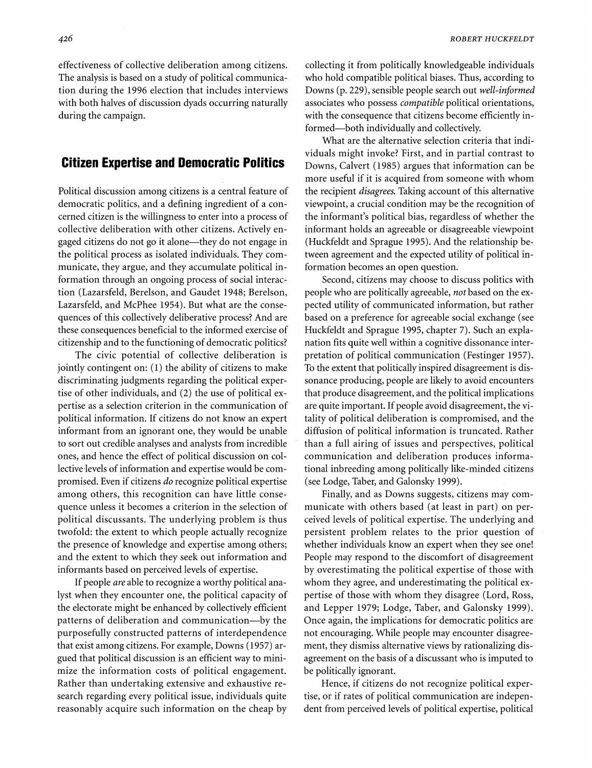effectiveness of collective deliberation among citizens. The analysis is based on a study of political communication during the 1996 election that includes interviews with both halves of discussion dyads occurring naturally during the campaign.

### **Citizen Expertise and Democratic Politics**

Political discussion among citizens is a central feature of democratic politics, and a defining ingredient of a concerned citizen is the willingness to enter into a process of collective deliberation with other citizens. Actively engaged citizens do not go it alone—they do not engage in the political process as isolated individuals. They communicate, they argue, and they accumulate political information through an ongoing process of social interaction (Lazarsfeld, Berelson, and Gaudet 1948; Berelson, Lazarsfeld, and McPhee 1954). But what are the consequences of this collectively deliberative process? And are these consequences beneficial to the informed exercise of citizenship and to the functioning of democratic politics?

The civic potential of collective deliberation is jointly contingent on: (1) the ability of citizens to make discriminating judgments regarding the political expertise of other individuals, and (2) the use of political expertise as a selection criterion in the communication of political information. If citizens do not know an expert informant from an ignorant one, they would be unable to sort out credible analyses and analysts from incredible ones, and hence the effect of political discussion on collective levels of information and expertise would be compromised. Even if citizens do recognize political expertise among others, this recognition can have little consequence unless it becomes a criterion in the selection of political discussants. The underlying problem is thus twofold: the extent to which people actually recognize the presence of knowledge and expertise among others; and the extent to which they seek out information and informants based on perceived levels of expertise.

If people are able to recognize a worthy political analyst when they encounter one, the political capacity of the electorate might be enhanced by collectively efficient patterns of deliberation and communication-by the purposefully constructed patterns of interdependence that exist among citizens. For example, Downs (1957) argued that political discussion is an efficient way to minimize the information costs of political engagement. Rather than undertaking extensive and exhaustive research regarding every political issue, individuals quite reasonably acquire such information on the cheap by

collecting it from politically knowledgeable individuals who hold compatible political biases. Thus, according to Downs (p. 229), sensible people search out well-informed associates who possess compatible political orientations, with the consequence that citizens become efficiently informed—both individually and collectively.

What are the alternative selection criteria that individuals might invoke? First, and in partial contrast to Downs, Calvert (1985) argues that information can be more useful if it is acquired from someone with whom the recipient *disagrees*. Taking account of this alternative viewpoint, a crucial condition may be the recognition of the informant's political bias, regardless of whether the informant holds an agreeable or disagreeable viewpoint (Huckfeldt and Sprague 1995). And the relationship between agreement and the expected utility of political information becomes an open question.

Second, citizens may choose to discuss politics with people who are politically agreeable, not based on the expected utility of communicated information, but rather based on a preference for agreeable social exchange (see Huckfeldt and Sprague 1995, chapter 7). Such an explanation fits quite well within a cognitive dissonance interpretation of political communication (Festinger 1957). To the extent that politically inspired disagreement is dissonance producing, people are likely to avoid encounters that produce disagreement, and the political implications are quite important. If people avoid disagreement, the vitality of political deliberation is compromised, and the diffusion of political information is truncated. Rather than a full airing of issues and perspectives, political communication and deliberation produces informational inbreeding among politically like-minded citizens (see Lodge, Taber, and Galonsky 1999).

Finally, and as Downs suggests, citizens may communicate with others based (at least in part) on perceived levels of political expertise. The underlying and persistent problem relates to the prior question of whether individuals know an expert when they see one! People may respond to the discomfort of disagreement by overestimating the political expertise of those with whom they agree, and underestimating the political expertise of those with whom they disagree (Lord, Ross, and Lepper 1979; Lodge, Taber, and Galonsky 1999). Once again, the implications for democratic politics are not encouraging. While people may encounter disagreement, they dismiss alternative views by rationalizing disagreement on the basis of a discussant who is imputed to be politically ignorant.

Hence, if citizens do not recognize political expertise, or if rates of political communication are independent from perceived levels of political expertise, political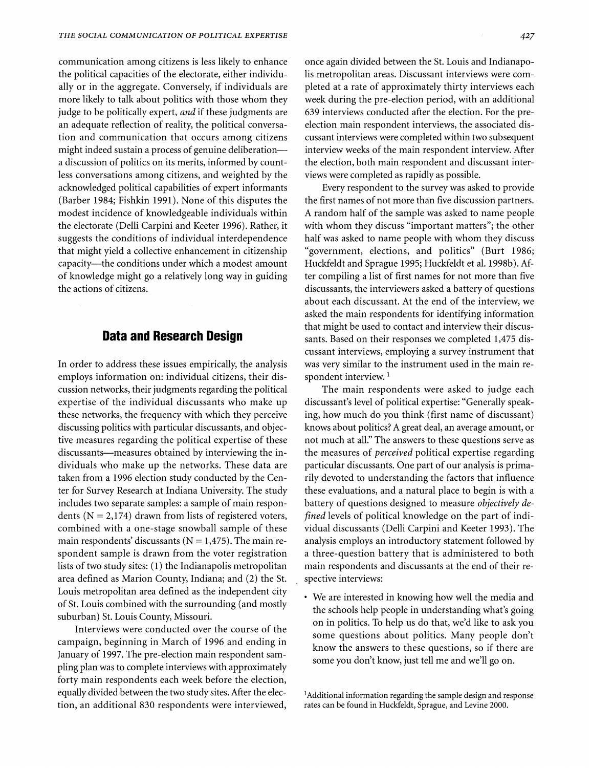communication among citizens is less likely to enhance the political capacities of the electorate, either individually or in the aggregate. Conversely, if individuals are more likely to talk about politics with those whom they judge to be politically expert, and if these judgments are an adequate reflection of reality, the political conversation and communication that occurs among citizens might indeed sustain a process of genuine deliberationa discussion of politics on its merits, informed by countless conversations among citizens, and weighted by the acknowledged political capabilities of expert informants (Barber 1984; Fishkin 1991). None of this disputes the modest incidence of knowledgeable individuals within the electorate (Delli Carpini and Keeter 1996). Rather, it suggests the conditions of individual interdependence that might yield a collective enhancement in citizenship capacity—the conditions under which a modest amount of knowledge might go a relatively long way in guiding the actions of citizens.

## **Data and Research Design**

In order to address these issues empirically, the analysis employs information on: individual citizens, their discussion networks, their judgments regarding the political expertise of the individual discussants who make up these networks, the frequency with which they perceive discussing politics with particular discussants, and objective measures regarding the political expertise of these discussants—measures obtained by interviewing the individuals who make up the networks. These data are taken from a 1996 election study conducted by the Center for Survey Research at Indiana University. The study includes two separate samples: a sample of main respondents ( $N = 2,174$ ) drawn from lists of registered voters, combined with a one-stage snowball sample of these main respondents' discussants ( $N = 1,475$ ). The main respondent sample is drawn from the voter registration lists of two study sites: (1) the Indianapolis metropolitan area defined as Marion County, Indiana; and (2) the St. Louis metropolitan area defined as the independent city of St. Louis combined with the surrounding (and mostly suburban) St. Louis County, Missouri.

Interviews were conducted over the course of the campaign, beginning in March of 1996 and ending in January of 1997. The pre-election main respondent sampling plan was to complete interviews with approximately forty main respondents each week before the election, equally divided between the two study sites. After the election, an additional 830 respondents were interviewed, once again divided between the St. Louis and Indianapolis metropolitan areas. Discussant interviews were completed at a rate of approximately thirty interviews each week during the pre-election period, with an additional 639 interviews conducted after the election. For the preelection main respondent interviews, the associated discussant interviews were completed within two subsequent interview weeks of the main respondent interview. After the election, both main respondent and discussant interviews were completed as rapidly as possible.

Every respondent to the survey was asked to provide the first names of not more than five discussion partners. A random half of the sample was asked to name people with whom they discuss "important matters"; the other half was asked to name people with whom they discuss "government, elections, and politics" (Burt 1986; Huckfeldt and Sprague 1995; Huckfeldt et al. 1998b). After compiling a list of first names for not more than five discussants, the interviewers asked a battery of questions about each discussant. At the end of the interview, we asked the main respondents for identifying information that might be used to contact and interview their discussants. Based on their responses we completed 1,475 discussant interviews, employing a survey instrument that was very similar to the instrument used in the main respondent interview.<sup>1</sup>

The main respondents were asked to judge each discussant's level of political expertise: "Generally speaking, how much do you think (first name of discussant) knows about politics? A great deal, an average amount, or not much at all." The answers to these questions serve as the measures of *perceived* political expertise regarding particular discussants. One part of our analysis is primarily devoted to understanding the factors that influence these evaluations, and a natural place to begin is with a battery of questions designed to measure *objectively defined* levels of political knowledge on the part of individual discussants (Delli Carpini and Keeter 1993). The analysis employs an introductory statement followed by a three-question battery that is administered to both main respondents and discussants at the end of their respective interviews:

• We are interested in knowing how well the media and the schools help people in understanding what's going on in politics. To help us do that, we'd like to ask you some questions about politics. Many people don't know the answers to these questions, so if there are some you don't know, just tell me and we'll go on.

<sup>&</sup>lt;sup>1</sup>Additional information regarding the sample design and response rates can be found in Huckfeldt, Sprague, and Levine 2000.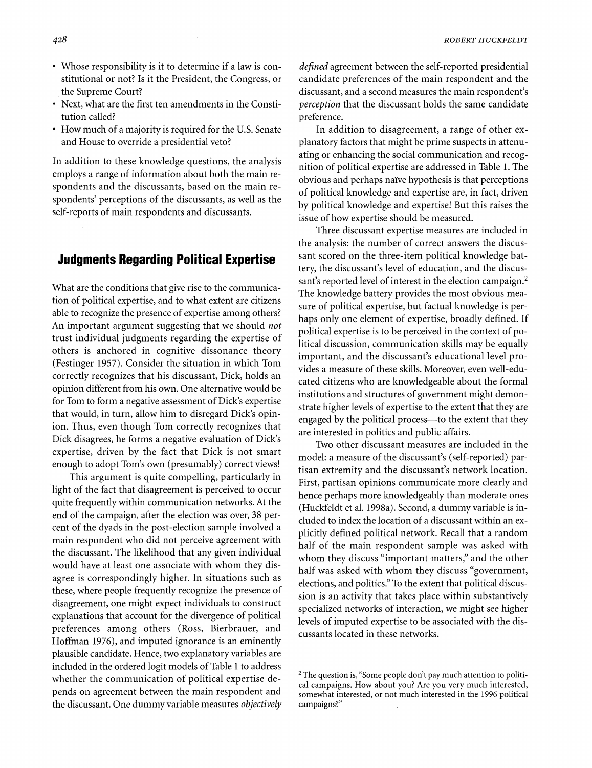- Whose responsibility is it to determine if a law is constitutional or not? Is it the President, the Congress, or the Supreme Court?
- Next, what are the first ten amendments in the Constitution called?
- How much of a majority is required for the U.S. Senate and House to override a presidential veto?

In addition to these knowledge questions, the analysis employs a range of information about both the main respondents and the discussants, based on the main respondents' perceptions of the discussants, as well as the self-reports of main respondents and discussants.

### **Judgments Regarding Political Expertise**

What are the conditions that give rise to the communication of political expertise, and to what extent are citizens able to recognize the presence of expertise among others? An important argument suggesting that we should not trust individual judgments regarding the expertise of others is anchored in cognitive dissonance theory (Festinger 1957). Consider the situation in which Tom correctly recognizes that his discussant, Dick, holds an opinion different from his own. One alternative would be for Tom to form a negative assessment of Dick's expertise that would, in turn, allow him to disregard Dick's opinion. Thus, even though Tom correctly recognizes that Dick disagrees, he forms a negative evaluation of Dick's expertise, driven by the fact that Dick is not smart enough to adopt Tom's own (presumably) correct views!

This argument is quite compelling, particularly in light of the fact that disagreement is perceived to occur quite frequently within communication networks. At the end of the campaign, after the election was over, 38 percent of the dyads in the post-election sample involved a main respondent who did not perceive agreement with the discussant. The likelihood that any given individual would have at least one associate with whom they disagree is correspondingly higher. In situations such as these, where people frequently recognize the presence of disagreement, one might expect individuals to construct explanations that account for the divergence of political preferences among others (Ross, Bierbrauer, and Hoffman 1976), and imputed ignorance is an eminently plausible candidate. Hence, two explanatory variables are included in the ordered logit models of Table 1 to address whether the communication of political expertise depends on agreement between the main respondent and the discussant. One dummy variable measures objectively

*defined* agreement between the self-reported presidential candidate preferences of the main respondent and the discussant, and a second measures the main respondent's perception that the discussant holds the same candidate preference.

In addition to disagreement, a range of other explanatory factors that might be prime suspects in attenuating or enhancing the social communication and recognition of political expertise are addressed in Table 1. The obvious and perhaps naïve hypothesis is that perceptions of political knowledge and expertise are, in fact, driven by political knowledge and expertise! But this raises the issue of how expertise should be measured.

Three discussant expertise measures are included in the analysis: the number of correct answers the discussant scored on the three-item political knowledge battery, the discussant's level of education, and the discussant's reported level of interest in the election campaign.<sup>2</sup> The knowledge battery provides the most obvious measure of political expertise, but factual knowledge is perhaps only one element of expertise, broadly defined. If political expertise is to be perceived in the context of political discussion, communication skills may be equally important, and the discussant's educational level provides a measure of these skills. Moreover, even well-educated citizens who are knowledgeable about the formal institutions and structures of government might demonstrate higher levels of expertise to the extent that they are engaged by the political process—to the extent that they are interested in politics and public affairs.

Two other discussant measures are included in the model: a measure of the discussant's (self-reported) partisan extremity and the discussant's network location. First, partisan opinions communicate more clearly and hence perhaps more knowledgeably than moderate ones (Huckfeldt et al. 1998a). Second, a dummy variable is included to index the location of a discussant within an explicitly defined political network. Recall that a random half of the main respondent sample was asked with whom they discuss "important matters," and the other half was asked with whom they discuss "government, elections, and politics." To the extent that political discussion is an activity that takes place within substantively specialized networks of interaction, we might see higher levels of imputed expertise to be associated with the discussants located in these networks.

<sup>&</sup>lt;sup>2</sup> The question is, "Some people don't pay much attention to political campaigns. How about you? Are you very much interested, somewhat interested, or not much interested in the 1996 political campaigns?"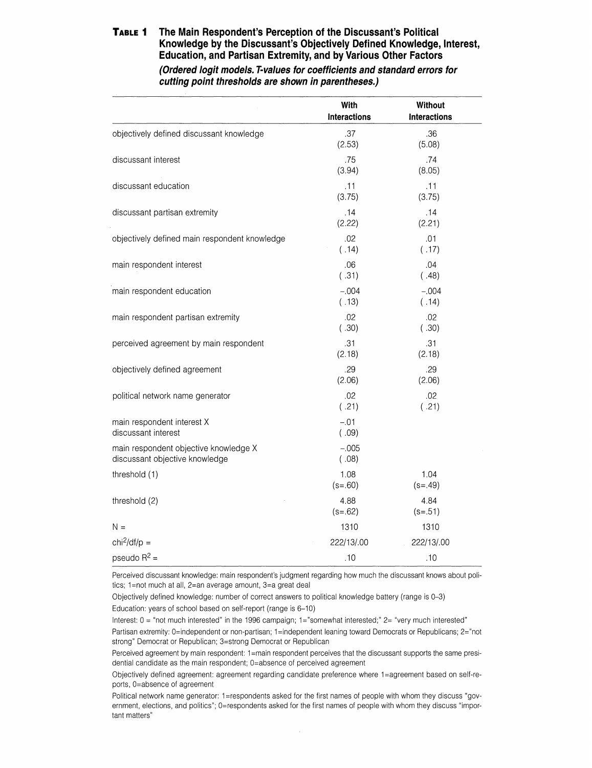#### TABLE 1 The Main Respondent's Perception of the Discussant's Political Knowledge by the Discussant's Objectively Defined Knowledge, Interest, Education, and Partisan Extremity, and by Various Other Factors (Ordered logit models. T-values for coefficients and standard errors for cutting point thresholds are shown in parentheses.)

|                                                                         | With<br><b>Interactions</b> | Without<br><b>Interactions</b> |
|-------------------------------------------------------------------------|-----------------------------|--------------------------------|
| objectively defined discussant knowledge                                | .37<br>(2.53)               | .36<br>(5.08)                  |
| discussant interest                                                     | .75<br>(3.94)               | .74<br>(8.05)                  |
| discussant education                                                    | .11<br>(3.75)               | .11<br>(3.75)                  |
| discussant partisan extremity                                           | .14<br>(2.22)               | .14<br>(2.21)                  |
| objectively defined main respondent knowledge                           | .02<br>( .14)               | .01<br>(.17)                   |
| main respondent interest                                                | .06<br>(.31)                | .04<br>(.48)                   |
| main respondent education                                               | $-.004$<br>(.13)            | $-.004$<br>(.14)               |
| main respondent partisan extremity                                      | .02<br>(.30)                | .02<br>(.30)                   |
| perceived agreement by main respondent                                  | .31<br>(2.18)               | .31<br>(2.18)                  |
| objectively defined agreement                                           | .29<br>(2.06)               | .29<br>(2.06)                  |
| political network name generator                                        | .02<br>(.21)                | .02<br>(.21)                   |
| main respondent interest X<br>discussant interest                       | $-.01$<br>(0.09)            |                                |
| main respondent objective knowledge X<br>discussant objective knowledge | $-.005$<br>(0.08)           |                                |
| threshold (1)                                                           | 1.08<br>$(s=.60)$           | 1.04<br>$(s = .49)$            |
| threshold (2)                                                           | 4,88<br>$(s=.62)$           | 4.84<br>$(s=.51)$              |
| $N =$                                                                   | 1310                        | 1310                           |
| chi <sup>2</sup> /df/p =                                                | 222/13/.00                  | 222/13/.00                     |
| pseudo $R^2$ =                                                          | .10                         | .10                            |

Perceived discussant knowledge: main respondent's judgment regarding how much the discussant knows about politics; 1=not much at all, 2=an average amount, 3=a great deal

Objectively defined knowledge: number of correct answers to political knowledge battery (range is 0-3)

Education: years of school based on self-report (range is 6-10)

Interest: 0 = "not much interested" in the 1996 campaign; 1="somewhat interested;" 2= "very much interested"

Partisan extremity: 0=independent or non-partisan; 1=independent leaning toward Democrats or Republicans; 2="not strong" Democrat or Republican; 3=strong Democrat or Republican

Perceived agreement by main respondent: 1=main respondent perceives that the discussant supports the same presidential candidate as the main respondent; 0=absence of perceived agreement

Objectively defined agreement: agreement regarding candidate preference where 1=agreement based on self-reports, 0=absence of agreement

Political network name generator: 1=respondents asked for the first names of people with whom they discuss "government, elections, and politics"; 0=respondents asked for the first names of people with whom they discuss "important matters"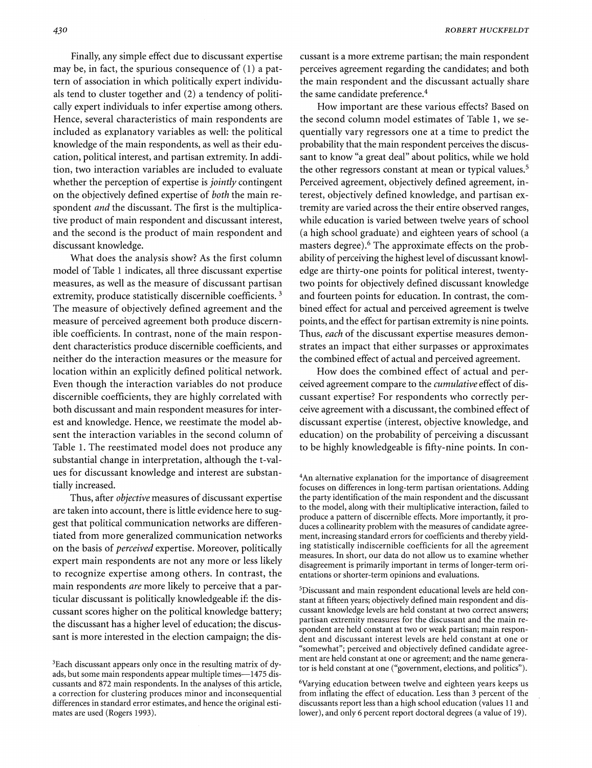Finally, any simple effect due to discussant expertise may be, in fact, the spurious consequence of (1) a pattern of association in which politically expert individuals tend to cluster together and (2) a tendency of politically expert individuals to infer expertise among others. Hence, several characteristics of main respondents are included as explanatory variables as well: the political knowledge of the main respondents, as well as their education, political interest, and partisan extremity. In addition, two interaction variables are included to evaluate whether the perception of expertise is jointly contingent on the objectively defined expertise of both the main respondent and the discussant. The first is the multiplicative product of main respondent and discussant interest, and the second is the product of main respondent and discussant knowledge.

What does the analysis show? As the first column model of Table 1 indicates, all three discussant expertise measures, as well as the measure of discussant partisan extremity, produce statistically discernible coefficients.<sup>3</sup> The measure of objectively defined agreement and the measure of perceived agreement both produce discernible coefficients. In contrast, none of the main respondent characteristics produce discernible coefficients, and neither do the interaction measures or the measure for location within an explicitly defined political network. Even though the interaction variables do not produce discernible coefficients, they are highly correlated with both discussant and main respondent measures for interest and knowledge. Hence, we reestimate the model absent the interaction variables in the second column of Table 1. The reestimated model does not produce any substantial change in interpretation, although the t-values for discussant knowledge and interest are substantially increased.

Thus, after objective measures of discussant expertise are taken into account, there is little evidence here to suggest that political communication networks are differentiated from more generalized communication networks on the basis of perceived expertise. Moreover, politically expert main respondents are not any more or less likely to recognize expertise among others. In contrast, the main respondents are more likely to perceive that a particular discussant is politically knowledgeable if: the discussant scores higher on the political knowledge battery; the discussant has a higher level of education; the discussant is more interested in the election campaign; the discussant is a more extreme partisan; the main respondent perceives agreement regarding the candidates; and both the main respondent and the discussant actually share the same candidate preference.<sup>4</sup>

How important are these various effects? Based on the second column model estimates of Table 1, we sequentially vary regressors one at a time to predict the probability that the main respondent perceives the discussant to know "a great deal" about politics, while we hold the other regressors constant at mean or typical values.<sup>5</sup> Perceived agreement, objectively defined agreement, interest, objectively defined knowledge, and partisan extremity are varied across the their entire observed ranges, while education is varied between twelve years of school (a high school graduate) and eighteen years of school (a masters degree).<sup>6</sup> The approximate effects on the probability of perceiving the highest level of discussant knowledge are thirty-one points for political interest, twentytwo points for objectively defined discussant knowledge and fourteen points for education. In contrast, the combined effect for actual and perceived agreement is twelve points, and the effect for partisan extremity is nine points. Thus, each of the discussant expertise measures demonstrates an impact that either surpasses or approximates the combined effect of actual and perceived agreement.

How does the combined effect of actual and perceived agreement compare to the cumulative effect of discussant expertise? For respondents who correctly perceive agreement with a discussant, the combined effect of discussant expertise (interest, objective knowledge, and education) on the probability of perceiving a discussant to be highly knowledgeable is fifty-nine points. In con-

<sup>5</sup>Discussant and main respondent educational levels are held constant at fifteen years; objectively defined main respondent and discussant knowledge levels are held constant at two correct answers; partisan extremity measures for the discussant and the main respondent are held constant at two or weak partisan; main respondent and discussant interest levels are held constant at one or "somewhat"; perceived and objectively defined candidate agreement are held constant at one or agreement; and the name generator is held constant at one ("government, elections, and politics").

<sup>6</sup>Varying education between twelve and eighteen years keeps us from inflating the effect of education. Less than 3 percent of the discussants report less than a high school education (values 11 and lower), and only 6 percent report doctoral degrees (a value of 19).

<sup>&</sup>lt;sup>3</sup>Each discussant appears only once in the resulting matrix of dyads, but some main respondents appear multiple times-1475 discussants and 872 main respondents. In the analyses of this article, a correction for clustering produces minor and inconsequential differences in standard error estimates, and hence the original estimates are used (Rogers 1993).

<sup>&</sup>lt;sup>4</sup>An alternative explanation for the importance of disagreement focuses on differences in long-term partisan orientations. Adding the party identification of the main respondent and the discussant to the model, along with their multiplicative interaction, failed to produce a pattern of discernible effects. More importantly, it produces a collinearity problem with the measures of candidate agreement, increasing standard errors for coefficients and thereby yielding statistically indiscernible coefficients for all the agreement measures. In short, our data do not allow us to examine whether disagreement is primarily important in terms of longer-term orientations or shorter-term opinions and evaluations.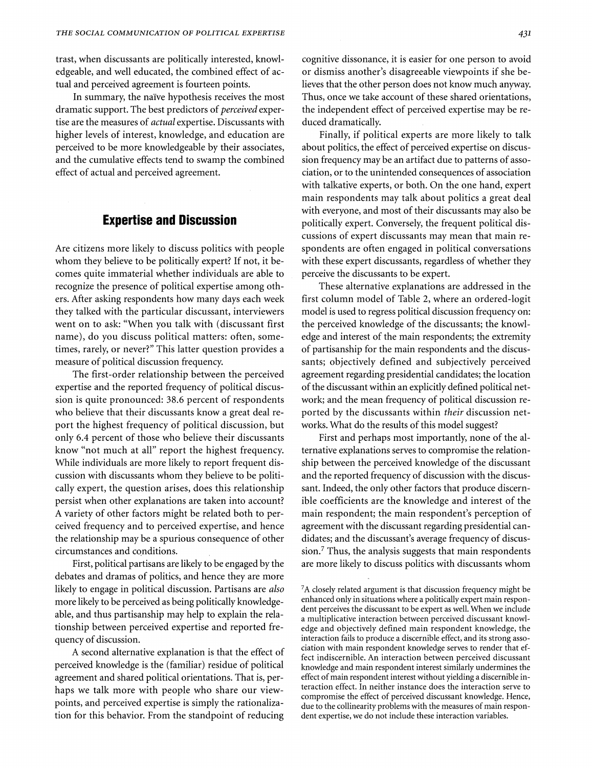trast, when discussants are politically interested, knowledgeable, and well educated, the combined effect of actual and perceived agreement is fourteen points.

In summary, the naïve hypothesis receives the most dramatic support. The best predictors of *perceived* expertise are the measures of actual expertise. Discussants with higher levels of interest, knowledge, and education are perceived to be more knowledgeable by their associates, and the cumulative effects tend to swamp the combined effect of actual and perceived agreement.

## **Expertise and Discussion**

Are citizens more likely to discuss politics with people whom they believe to be politically expert? If not, it becomes quite immaterial whether individuals are able to recognize the presence of political expertise among others. After asking respondents how many days each week they talked with the particular discussant, interviewers went on to ask: "When you talk with (discussant first name), do you discuss political matters: often, sometimes, rarely, or never?" This latter question provides a measure of political discussion frequency.

The first-order relationship between the perceived expertise and the reported frequency of political discussion is quite pronounced: 38.6 percent of respondents who believe that their discussants know a great deal report the highest frequency of political discussion, but only 6.4 percent of those who believe their discussants know "not much at all" report the highest frequency. While individuals are more likely to report frequent discussion with discussants whom they believe to be politically expert, the question arises, does this relationship persist when other explanations are taken into account? A variety of other factors might be related both to perceived frequency and to perceived expertise, and hence the relationship may be a spurious consequence of other circumstances and conditions.

First, political partisans are likely to be engaged by the debates and dramas of politics, and hence they are more likely to engage in political discussion. Partisans are also more likely to be perceived as being politically knowledgeable, and thus partisanship may help to explain the relationship between perceived expertise and reported frequency of discussion.

A second alternative explanation is that the effect of perceived knowledge is the (familiar) residue of political agreement and shared political orientations. That is, perhaps we talk more with people who share our viewpoints, and perceived expertise is simply the rationalization for this behavior. From the standpoint of reducing

cognitive dissonance, it is easier for one person to avoid or dismiss another's disagreeable viewpoints if she believes that the other person does not know much anyway. Thus, once we take account of these shared orientations, the independent effect of perceived expertise may be reduced dramatically.

Finally, if political experts are more likely to talk about politics, the effect of perceived expertise on discussion frequency may be an artifact due to patterns of association, or to the unintended consequences of association with talkative experts, or both. On the one hand, expert main respondents may talk about politics a great deal with everyone, and most of their discussants may also be politically expert. Conversely, the frequent political discussions of expert discussants may mean that main respondents are often engaged in political conversations with these expert discussants, regardless of whether they perceive the discussants to be expert.

These alternative explanations are addressed in the first column model of Table 2, where an ordered-logit model is used to regress political discussion frequency on: the perceived knowledge of the discussants; the knowledge and interest of the main respondents; the extremity of partisanship for the main respondents and the discussants; objectively defined and subjectively perceived agreement regarding presidential candidates; the location of the discussant within an explicitly defined political network; and the mean frequency of political discussion reported by the discussants within their discussion networks. What do the results of this model suggest?

First and perhaps most importantly, none of the alternative explanations serves to compromise the relationship between the perceived knowledge of the discussant and the reported frequency of discussion with the discussant. Indeed, the only other factors that produce discernible coefficients are the knowledge and interest of the main respondent; the main respondent's perception of agreement with the discussant regarding presidential candidates; and the discussant's average frequency of discussion.<sup>7</sup> Thus, the analysis suggests that main respondents are more likely to discuss politics with discussants whom

<sup>&</sup>lt;sup>7</sup>A closely related argument is that discussion frequency might be enhanced only in situations where a politically expert main respondent perceives the discussant to be expert as well. When we include a multiplicative interaction between perceived discussant knowledge and objectively defined main respondent knowledge, the interaction fails to produce a discernible effect, and its strong association with main respondent knowledge serves to render that effect indiscernible. An interaction between perceived discussant knowledge and main respondent interest similarly undermines the effect of main respondent interest without yielding a discernible interaction effect. In neither instance does the interaction serve to compromise the effect of perceived discussant knowledge. Hence, due to the collinearity problems with the measures of main respondent expertise, we do not include these interaction variables.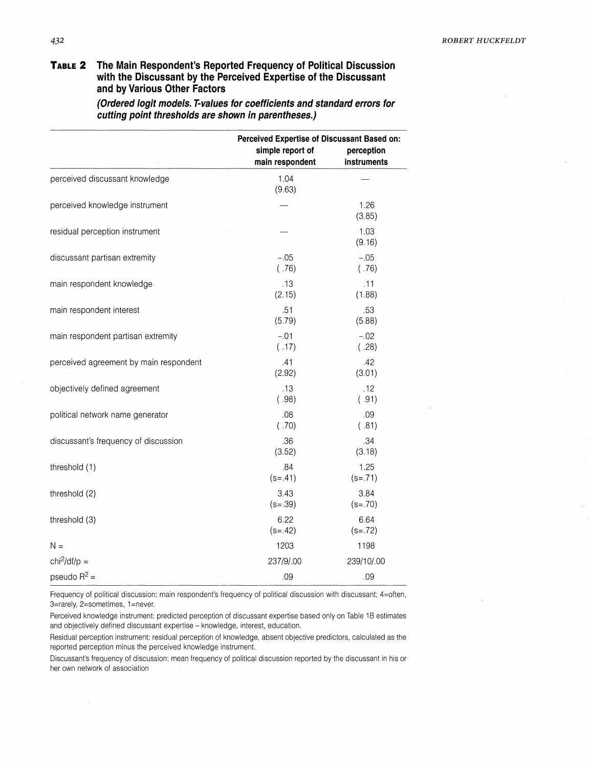#### The Main Respondent's Reported Frequency of Political Discussion TABLE 2 with the Discussant by the Perceived Expertise of the Discussant and by Various Other Factors

(Ordered logit models. T-values for coefficients and standard errors for cutting point thresholds are shown in parentheses.)

|                                        | Perceived Expertise of Discussant Based on:<br>simple report of<br>main respondent | perception<br>instruments |
|----------------------------------------|------------------------------------------------------------------------------------|---------------------------|
| perceived discussant knowledge         | 1.04<br>(9.63)                                                                     |                           |
| perceived knowledge instrument         |                                                                                    | 1.26<br>(3.85)            |
| residual perception instrument         |                                                                                    | 1.03<br>(9.16)            |
| discussant partisan extremity          | $-.05$<br>(.76)                                                                    | $-.05$<br>(.76)           |
| main respondent knowledge              | .13<br>(2.15)                                                                      | .11<br>(1.88)             |
| main respondent interest               | .51<br>(5.79)                                                                      | .53<br>(5.88)             |
| main respondent partisan extremity     | $-01$<br>(.17)                                                                     | $-.02$<br>(.28)           |
| perceived agreement by main respondent | .41<br>(2.92)                                                                      | .42<br>(3.01)             |
| objectively defined agreement          | .13<br>(.98)                                                                       | .12<br>(.91)              |
| political network name generator       | .08<br>(.70)                                                                       | .09<br>(.81)              |
| discussant's frequency of discussion   | .36<br>(3.52)                                                                      | .34<br>(3.18)             |
| threshold (1)                          | .84<br>$(s=.41)$                                                                   | 1.25<br>$(s=.71)$         |
| threshold (2)                          | 3.43<br>$(s=.39)$                                                                  | 3.84<br>$(s=.70)$         |
| threshold (3)                          | 6.22<br>$(s=.42)$                                                                  | 6.64<br>$(s=.72)$         |
| $N =$                                  | 1203                                                                               | 1198                      |
| chi <sup>2</sup> /df/p =               | 237/9/.00                                                                          | 239/10/.00                |
| pseudo $R^2$ =                         | .09                                                                                | .09                       |

Frequency of political discussion: main respondent's frequency of political discussion with discussant; 4=often, 3=rarely, 2=sometimes, 1=never.

Perceived knowledge instrument: predicted perception of discussant expertise based only on Table 1B estimates and objectively defined discussant expertise - knowledge, interest, education.

Residual perception instrument: residual perception of knowledge, absent objective predictors, calculated as the reported perception minus the perceived knowledge instrument.

Discussant's frequency of discussion: mean frequency of political discussion reported by the discussant in his or her own network of association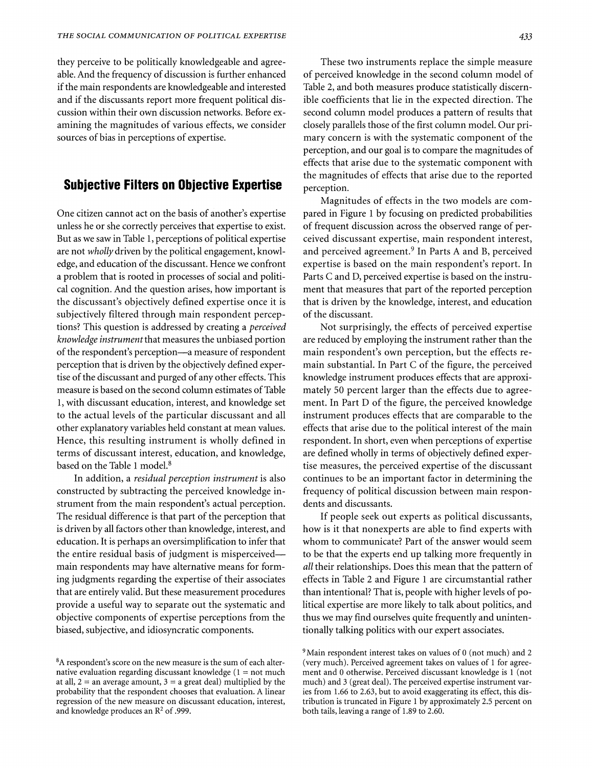they perceive to be politically knowledgeable and agreeable. And the frequency of discussion is further enhanced if the main respondents are knowledgeable and interested and if the discussants report more frequent political discussion within their own discussion networks. Before examining the magnitudes of various effects, we consider sources of bias in perceptions of expertise.

## **Subjective Filters on Objective Expertise**

One citizen cannot act on the basis of another's expertise unless he or she correctly perceives that expertise to exist. But as we saw in Table 1, perceptions of political expertise are not wholly driven by the political engagement, knowledge, and education of the discussant. Hence we confront a problem that is rooted in processes of social and political cognition. And the question arises, how important is the discussant's objectively defined expertise once it is subjectively filtered through main respondent perceptions? This question is addressed by creating a *perceived* knowledge instrument that measures the unbiased portion of the respondent's perception-a measure of respondent perception that is driven by the objectively defined expertise of the discussant and purged of any other effects. This measure is based on the second column estimates of Table 1, with discussant education, interest, and knowledge set to the actual levels of the particular discussant and all other explanatory variables held constant at mean values. Hence, this resulting instrument is wholly defined in terms of discussant interest, education, and knowledge, based on the Table 1 model.<sup>8</sup>

In addition, a residual perception instrument is also constructed by subtracting the perceived knowledge instrument from the main respondent's actual perception. The residual difference is that part of the perception that is driven by all factors other than knowledge, interest, and education. It is perhaps an oversimplification to infer that the entire residual basis of judgment is misperceivedmain respondents may have alternative means for forming judgments regarding the expertise of their associates that are entirely valid. But these measurement procedures provide a useful way to separate out the systematic and objective components of expertise perceptions from the biased, subjective, and idiosyncratic components.

These two instruments replace the simple measure of perceived knowledge in the second column model of Table 2, and both measures produce statistically discernible coefficients that lie in the expected direction. The second column model produces a pattern of results that closely parallels those of the first column model. Our primary concern is with the systematic component of the perception, and our goal is to compare the magnitudes of effects that arise due to the systematic component with the magnitudes of effects that arise due to the reported perception.

Magnitudes of effects in the two models are compared in Figure 1 by focusing on predicted probabilities of frequent discussion across the observed range of perceived discussant expertise, main respondent interest, and perceived agreement.<sup>9</sup> In Parts A and B, perceived expertise is based on the main respondent's report. In Parts C and D, perceived expertise is based on the instrument that measures that part of the reported perception that is driven by the knowledge, interest, and education of the discussant.

Not surprisingly, the effects of perceived expertise are reduced by employing the instrument rather than the main respondent's own perception, but the effects remain substantial. In Part C of the figure, the perceived knowledge instrument produces effects that are approximately 50 percent larger than the effects due to agreement. In Part D of the figure, the perceived knowledge instrument produces effects that are comparable to the effects that arise due to the political interest of the main respondent. In short, even when perceptions of expertise are defined wholly in terms of objectively defined expertise measures, the perceived expertise of the discussant continues to be an important factor in determining the frequency of political discussion between main respondents and discussants.

If people seek out experts as political discussants, how is it that nonexperts are able to find experts with whom to communicate? Part of the answer would seem to be that the experts end up talking more frequently in all their relationships. Does this mean that the pattern of effects in Table 2 and Figure 1 are circumstantial rather than intentional? That is, people with higher levels of political expertise are more likely to talk about politics, and thus we may find ourselves quite frequently and unintentionally talking politics with our expert associates.

<sup>&</sup>lt;sup>8</sup>A respondent's score on the new measure is the sum of each alternative evaluation regarding discussant knowledge  $(1 = not much)$ at all,  $2 =$  an average amount,  $3 =$  a great deal) multiplied by the probability that the respondent chooses that evaluation. A linear regression of the new measure on discussant education, interest, and knowledge produces an  $\mathbb{R}^2$  of .999.

<sup>&</sup>lt;sup>9</sup> Main respondent interest takes on values of 0 (not much) and 2 (very much). Perceived agreement takes on values of 1 for agreement and 0 otherwise. Perceived discussant knowledge is 1 (not much) and 3 (great deal). The perceived expertise instrument varies from 1.66 to 2.63, but to avoid exaggerating its effect, this distribution is truncated in Figure 1 by approximately 2.5 percent on both tails, leaving a range of 1.89 to 2.60.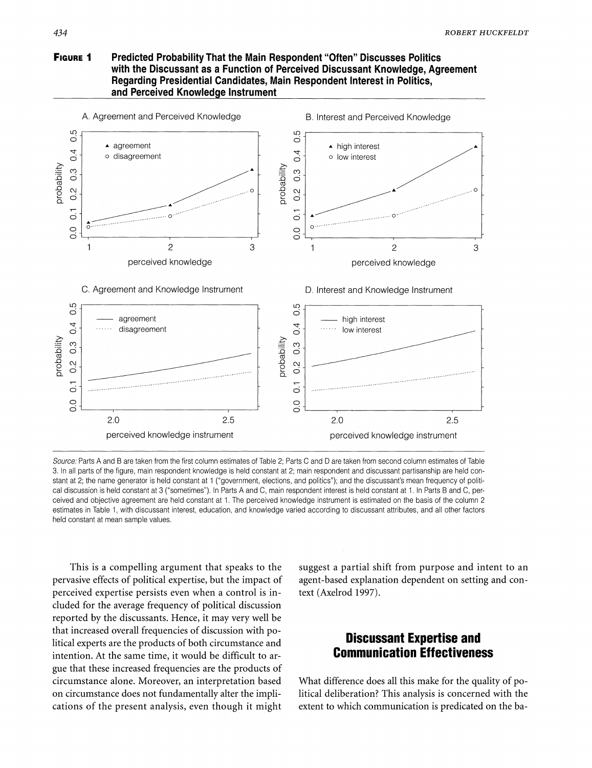#### **FIGURE 1** Predicted Probability That the Main Respondent "Often" Discusses Politics with the Discussant as a Function of Perceived Discussant Knowledge, Agreement Regarding Presidential Candidates, Main Respondent Interest in Politics, and Perceived Knowledge Instrument



Source: Parts A and B are taken from the first column estimates of Table 2; Parts C and D are taken from second column estimates of Table 3. In all parts of the figure, main respondent knowledge is held constant at 2; main respondent and discussant partisanship are held constant at 2; the name generator is held constant at 1 ("government, elections, and politics"); and the discussant's mean frequency of political discussion is held constant at 3 ("sometimes"). In Parts A and C, main respondent interest is held constant at 1. In Parts B and C, perceived and objective agreement are held constant at 1. The perceived knowledge instrument is estimated on the basis of the column 2 estimates in Table 1, with discussant interest, education, and knowledge varied according to discussant attributes, and all other factors held constant at mean sample values.

This is a compelling argument that speaks to the pervasive effects of political expertise, but the impact of perceived expertise persists even when a control is included for the average frequency of political discussion reported by the discussants. Hence, it may very well be that increased overall frequencies of discussion with political experts are the products of both circumstance and intention. At the same time, it would be difficult to argue that these increased frequencies are the products of circumstance alone. Moreover, an interpretation based on circumstance does not fundamentally alter the implications of the present analysis, even though it might

suggest a partial shift from purpose and intent to an agent-based explanation dependent on setting and context (Axelrod 1997).

# **Discussant Expertise and Communication Effectiveness**

What difference does all this make for the quality of political deliberation? This analysis is concerned with the extent to which communication is predicated on the ba-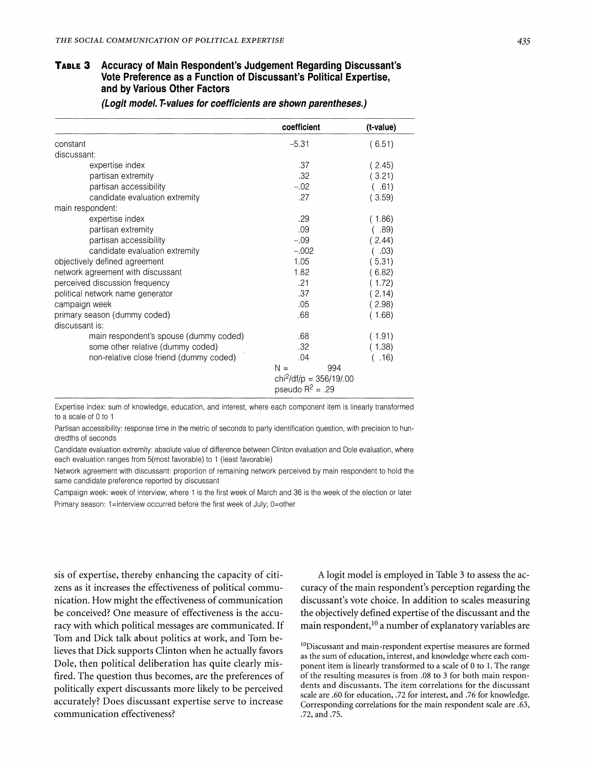#### TABLE 3 Accuracy of Main Respondent's Judgement Regarding Discussant's Vote Preference as a Function of Discussant's Political Expertise, and by Various Other Factors

|                                         | coefficient                                                               | (t-value) |
|-----------------------------------------|---------------------------------------------------------------------------|-----------|
| constant                                | $-5.31$                                                                   | (6.51)    |
| discussant:                             |                                                                           |           |
| expertise index                         | .37                                                                       | (2.45)    |
| partisan extremity                      | .32                                                                       | (3.21)    |
| partisan accessibility                  | $-.02$                                                                    | .61)      |
| candidate evaluation extremity          | .27                                                                       | (3.59)    |
| main respondent:                        |                                                                           |           |
| expertise index                         | .29                                                                       | (1.86)    |
| partisan extremity                      | .09                                                                       | .89)      |
| partisan accessibility                  | $-.09$                                                                    | (2.44)    |
| candidate evaluation extremity          | $-.002$                                                                   | .03)      |
| objectively defined agreement           | 1.05                                                                      | (5.31)    |
| network agreement with discussant       | 1.82                                                                      | (6.82)    |
| perceived discussion frequency          | .21                                                                       | (1.72)    |
| political network name generator        | .37                                                                       | (2.14)    |
| campaign week                           | .05                                                                       | ( 2.98)   |
| primary season (dummy coded)            | .68                                                                       | (1.68)    |
| discussant is:                          |                                                                           |           |
| main respondent's spouse (dummy coded)  | .68                                                                       | (1.91)    |
| some other relative (dummy coded)       | .32                                                                       | (1.38)    |
| non-relative close friend (dummy coded) | .04                                                                       | .16)      |
|                                         | $N =$<br>994<br>chi <sup>2</sup> /df/p = 356/19/.00<br>pseudo $R^2$ = .29 |           |

(Logit model. T-values for coefficients are shown parentheses.)

Expertise index: sum of knowledge, education, and interest, where each component item is linearly transformed to a scale of 0 to 1

Partisan accessibility: response time in the metric of seconds to party identification question, with precision to hundredths of seconds

Candidate evaluation extremity: absolute value of difference between Clinton evaluation and Dole evaluation, where each evaluation ranges from 5(most favorable) to 1 (least favorable)

Network agreement with discussant: proportion of remaining network perceived by main respondent to hold the same candidate preference reported by discussant

Campaign week: week of interview, where 1 is the first week of March and 36 is the week of the election or later Primary season: 1=interview occurred before the first week of July; 0=other

sis of expertise, thereby enhancing the capacity of citizens as it increases the effectiveness of political communication. How might the effectiveness of communication be conceived? One measure of effectiveness is the accuracy with which political messages are communicated. If Tom and Dick talk about politics at work, and Tom believes that Dick supports Clinton when he actually favors Dole, then political deliberation has quite clearly misfired. The question thus becomes, are the preferences of politically expert discussants more likely to be perceived accurately? Does discussant expertise serve to increase communication effectiveness?

A logit model is employed in Table 3 to assess the accuracy of the main respondent's perception regarding the discussant's vote choice. In addition to scales measuring the objectively defined expertise of the discussant and the main respondent,<sup>10</sup> a number of explanatory variables are

<sup>10</sup>Discussant and main-respondent expertise measures are formed as the sum of education, interest, and knowledge where each component item is linearly transformed to a scale of 0 to 1. The range of the resulting measures is from .08 to 3 for both main respondents and discussants. The item correlations for the discussant scale are .60 for education, .72 for interest, and .76 for knowledge. Corresponding correlations for the main respondent scale are .63, .72, and .75.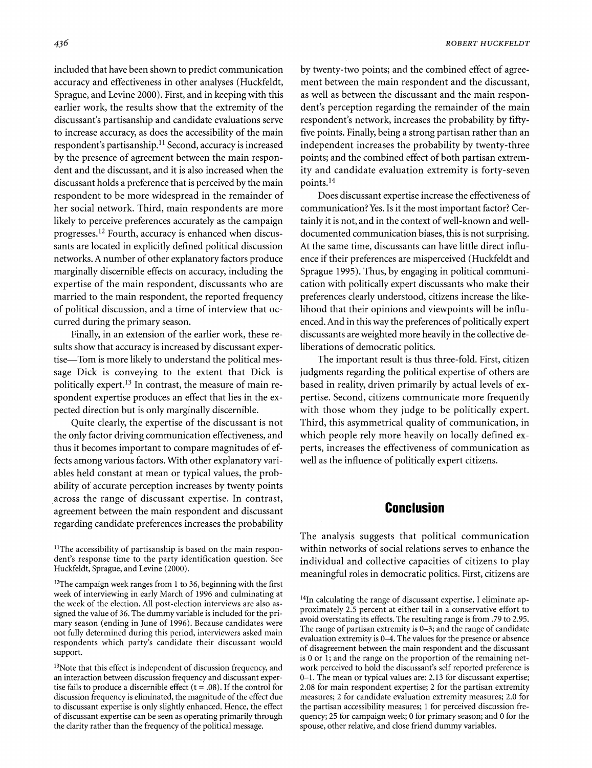included that have been shown to predict communication accuracy and effectiveness in other analyses (Huckfeldt, Sprague, and Levine 2000). First, and in keeping with this earlier work, the results show that the extremity of the discussant's partisanship and candidate evaluations serve to increase accuracy, as does the accessibility of the main respondent's partisanship.<sup>11</sup> Second, accuracy is increased by the presence of agreement between the main respondent and the discussant, and it is also increased when the discussant holds a preference that is perceived by the main respondent to be more widespread in the remainder of her social network. Third, main respondents are more likely to perceive preferences accurately as the campaign progresses.<sup>12</sup> Fourth, accuracy is enhanced when discussants are located in explicitly defined political discussion networks. A number of other explanatory factors produce marginally discernible effects on accuracy, including the expertise of the main respondent, discussants who are married to the main respondent, the reported frequency of political discussion, and a time of interview that occurred during the primary season.

Finally, in an extension of the earlier work, these results show that accuracy is increased by discussant expertise—Tom is more likely to understand the political message Dick is conveying to the extent that Dick is politically expert.<sup>13</sup> In contrast, the measure of main respondent expertise produces an effect that lies in the expected direction but is only marginally discernible.

Quite clearly, the expertise of the discussant is not the only factor driving communication effectiveness, and thus it becomes important to compare magnitudes of effects among various factors. With other explanatory variables held constant at mean or typical values, the probability of accurate perception increases by twenty points across the range of discussant expertise. In contrast, agreement between the main respondent and discussant regarding candidate preferences increases the probability by twenty-two points; and the combined effect of agreement between the main respondent and the discussant, as well as between the discussant and the main respondent's perception regarding the remainder of the main respondent's network, increases the probability by fiftyfive points. Finally, being a strong partisan rather than an independent increases the probability by twenty-three points; and the combined effect of both partisan extremity and candidate evaluation extremity is forty-seven points.<sup>14</sup>

Does discussant expertise increase the effectiveness of communication? Yes. Is it the most important factor? Certainly it is not, and in the context of well-known and welldocumented communication biases, this is not surprising. At the same time, discussants can have little direct influence if their preferences are misperceived (Huckfeldt and Sprague 1995). Thus, by engaging in political communication with politically expert discussants who make their preferences clearly understood, citizens increase the likelihood that their opinions and viewpoints will be influenced. And in this way the preferences of politically expert discussants are weighted more heavily in the collective deliberations of democratic politics.

The important result is thus three-fold. First, citizen judgments regarding the political expertise of others are based in reality, driven primarily by actual levels of expertise. Second, citizens communicate more frequently with those whom they judge to be politically expert. Third, this asymmetrical quality of communication, in which people rely more heavily on locally defined experts, increases the effectiveness of communication as well as the influence of politically expert citizens.

### **Conclusion**

The analysis suggests that political communication within networks of social relations serves to enhance the individual and collective capacities of citizens to play meaningful roles in democratic politics. First, citizens are

<sup>&</sup>lt;sup>11</sup>The accessibility of partisanship is based on the main respondent's response time to the party identification question. See Huckfeldt, Sprague, and Levine (2000).

<sup>&</sup>lt;sup>12</sup>The campaign week ranges from 1 to 36, beginning with the first week of interviewing in early March of 1996 and culminating at the week of the election. All post-election interviews are also assigned the value of 36. The dummy variable is included for the primary season (ending in June of 1996). Because candidates were not fully determined during this period, interviewers asked main respondents which party's candidate their discussant would support.

<sup>&</sup>lt;sup>13</sup>Note that this effect is independent of discussion frequency, and an interaction between discussion frequency and discussant expertise fails to produce a discernible effect ( $t = .08$ ). If the control for discussion frequency is eliminated, the magnitude of the effect due to discussant expertise is only slightly enhanced. Hence, the effect of discussant expertise can be seen as operating primarily through the clarity rather than the frequency of the political message.

<sup>&</sup>lt;sup>14</sup>In calculating the range of discussant expertise, I eliminate approximately 2.5 percent at either tail in a conservative effort to avoid overstating its effects. The resulting range is from .79 to 2.95. The range of partisan extremity is 0-3; and the range of candidate evaluation extremity is 0–4. The values for the presence or absence of disagreement between the main respondent and the discussant is 0 or 1; and the range on the proportion of the remaining network perceived to hold the discussant's self reported preference is 0-1. The mean or typical values are: 2.13 for discussant expertise; 2.08 for main respondent expertise; 2 for the partisan extremity measures; 2 for candidate evaluation extremity measures; 2.0 for the partisan accessibility measures; 1 for perceived discussion frequency; 25 for campaign week; 0 for primary season; and 0 for the spouse, other relative, and close friend dummy variables.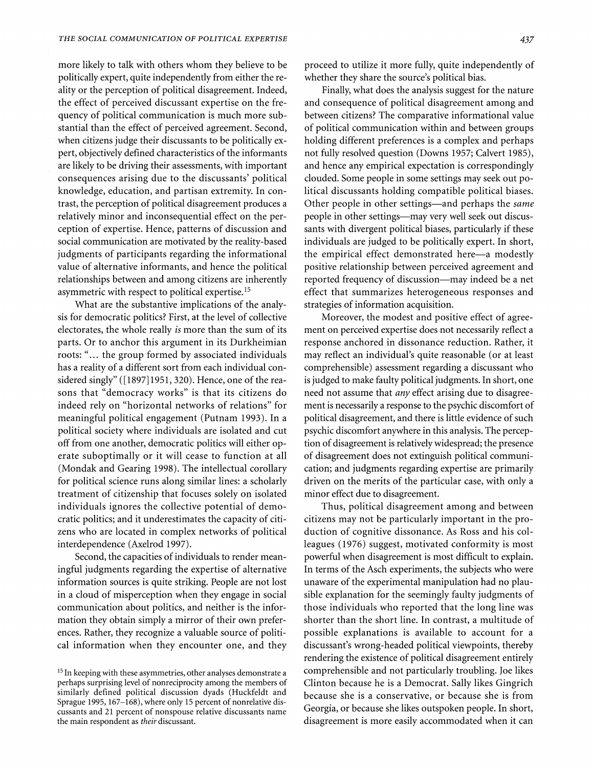more likely to talk with others whom they believe to be politically expert, quite independently from either the reality or the perception of political disagreement. Indeed, the effect of perceived discussant expertise on the frequency of political communication is much more substantial than the effect of perceived agreement. Second, when citizens judge their discussants to be politically expert, objectively defined characteristics of the informants are likely to be driving their assessments, with important consequences arising due to the discussants' political knowledge, education, and partisan extremity. In contrast, the perception of political disagreement produces a relatively minor and inconsequential effect on the perception of expertise. Hence, patterns of discussion and social communication are motivated by the reality-based judgments of participants regarding the informational value of alternative informants, and hence the political relationships between and among citizens are inherently asymmetric with respect to political expertise.<sup>15</sup>

What are the substantive implications of the analysis for democratic politics? First, at the level of collective electorates, the whole really is more than the sum of its parts. Or to anchor this argument in its Durkheimian roots: "... the group formed by associated individuals has a reality of a different sort from each individual considered singly" ([1897] 1951, 320). Hence, one of the reasons that "democracy works" is that its citizens do indeed rely on "horizontal networks of relations" for meaningful political engagement (Putnam 1993). In a political society where individuals are isolated and cut off from one another, democratic politics will either operate suboptimally or it will cease to function at all (Mondak and Gearing 1998). The intellectual corollary for political science runs along similar lines: a scholarly treatment of citizenship that focuses solely on isolated individuals ignores the collective potential of democratic politics; and it underestimates the capacity of citizens who are located in complex networks of political interdependence (Axelrod 1997).

Second, the capacities of individuals to render meaningful judgments regarding the expertise of alternative information sources is quite striking. People are not lost in a cloud of misperception when they engage in social communication about politics, and neither is the information they obtain simply a mirror of their own preferences. Rather, they recognize a valuable source of political information when they encounter one, and they proceed to utilize it more fully, quite independently of whether they share the source's political bias.

Finally, what does the analysis suggest for the nature and consequence of political disagreement among and between citizens? The comparative informational value of political communication within and between groups holding different preferences is a complex and perhaps not fully resolved question (Downs 1957; Calvert 1985), and hence any empirical expectation is correspondingly clouded. Some people in some settings may seek out political discussants holding compatible political biases. Other people in other settings—and perhaps the same people in other settings—may very well seek out discussants with divergent political biases, particularly if these individuals are judged to be politically expert. In short, the empirical effect demonstrated here-a modestly positive relationship between perceived agreement and reported frequency of discussion—may indeed be a net effect that summarizes heterogeneous responses and strategies of information acquisition.

Moreover, the modest and positive effect of agreement on perceived expertise does not necessarily reflect a response anchored in dissonance reduction. Rather, it may reflect an individual's quite reasonable (or at least comprehensible) assessment regarding a discussant who is judged to make faulty political judgments. In short, one need not assume that *any* effect arising due to disagreement is necessarily a response to the psychic discomfort of political disagreement, and there is little evidence of such psychic discomfort anywhere in this analysis. The perception of disagreement is relatively widespread; the presence of disagreement does not extinguish political communication; and judgments regarding expertise are primarily driven on the merits of the particular case, with only a minor effect due to disagreement.

Thus, political disagreement among and between citizens may not be particularly important in the production of cognitive dissonance. As Ross and his colleagues (1976) suggest, motivated conformity is most powerful when disagreement is most difficult to explain. In terms of the Asch experiments, the subjects who were unaware of the experimental manipulation had no plausible explanation for the seemingly faulty judgments of those individuals who reported that the long line was shorter than the short line. In contrast, a multitude of possible explanations is available to account for a discussant's wrong-headed political viewpoints, thereby rendering the existence of political disagreement entirely comprehensible and not particularly troubling. Joe likes Clinton because he is a Democrat. Sally likes Gingrich because she is a conservative, or because she is from Georgia, or because she likes outspoken people. In short, disagreement is more easily accommodated when it can

<sup>&</sup>lt;sup>15</sup> In keeping with these asymmetries, other analyses demonstrate a perhaps surprising level of nonreciprocity among the members of similarly defined political discussion dyads (Huckfeldt and Sprague 1995, 167-168), where only 15 percent of nonrelative discussants and 21 percent of nonspouse relative discussants name the main respondent as *their* discussant.